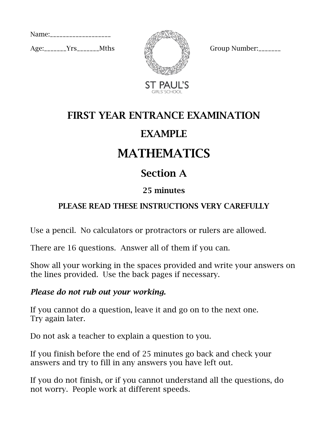Name:\_\_\_\_\_\_\_\_\_\_\_\_\_\_\_\_\_\_\_\_

 $Age:$   $Yrs$   $Mths$   $\frac{1}{2}$   $\frac{1}{2}$   $Group Number:$ 



ST PAUL'S

### FIRST YEAR ENTRANCE EXAMINATION

### EXAMPLE

# MATHEMATICS

### Section A

#### 25 minutes

#### PLEASE READ THESE INSTRUCTIONS VERY CAREFULLY

Use a pencil. No calculators or protractors or rulers are allowed.

There are 16 questions. Answer all of them if you can.

Show all your working in the spaces provided and write your answers on the lines provided. Use the back pages if necessary.

#### *Please do not rub out your working.*

If you cannot do a question, leave it and go on to the next one. Try again later.

Do not ask a teacher to explain a question to you.

If you finish before the end of 25 minutes go back and check your answers and try to fill in any answers you have left out.

If you do not finish, or if you cannot understand all the questions, do not worry. People work at different speeds.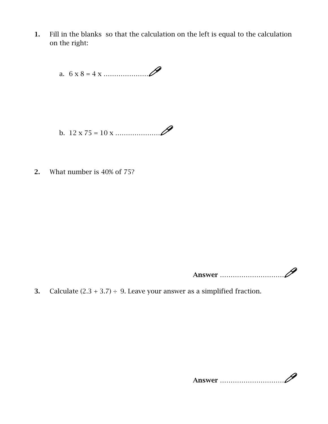1. Fill in the blanks so that the calculation on the left is equal to the calculation on the right:

a.  $6 x 8 = 4 x$  …

- b.  $12 \times 75 = 10 \times \dots \times \}$
- 2. What number is 40% of 75?

Answer …………………………

3. Calculate  $(2.3 + 3.7) \div 9$ . Leave your answer as a simplified fraction.

Answer …………………………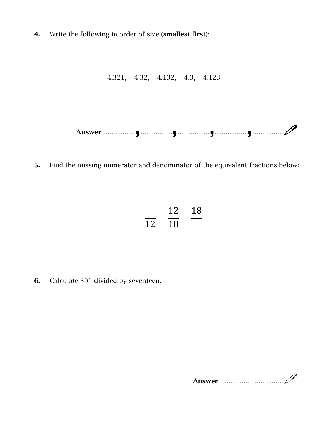4. Write the following in order of size (smallest first):

4.321, 4.32, 4.132, 4.3, 4.123

Answer ……………,……………,……………,……………,……………

5. Find the missing numerator and denominator of the equivalent fractions below:

$$
\frac{1}{12} = \frac{12}{18} = \frac{18}{18}
$$

6. Calculate 391 divided by seventeen.

Answer …………………………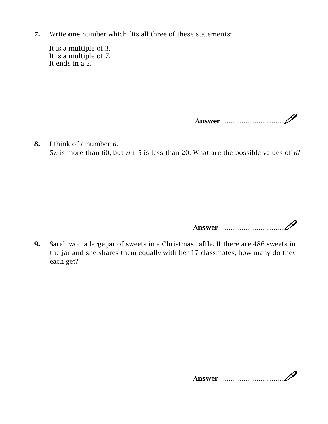7. Write one number which fits all three of these statements:

It is a multiple of 3. It is a multiple of 7. It ends in a 2.

Answer…………………………

8. I think of a number *n.* 5*n* is more than 60, but *n* + 5 is less than 20. What are the possible values of *n*?

Answer …………………………

9. Sarah won a large jar of sweets in a Christmas raffle. If there are 486 sweets in the jar and she shares them equally with her 17 classmates, how many do they each get?

Answer …………………………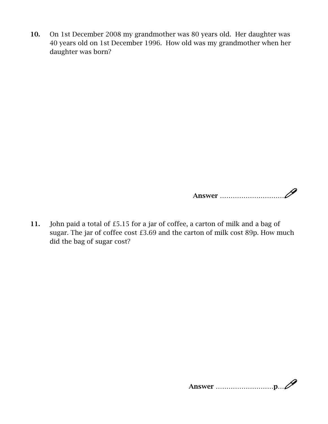10. On 1st December 2008 my grandmother was 80 years old. Her daughter was 40 years old on 1st December 1996. How old was my grandmother when her daughter was born?

Answer …………………………

11. John paid a total of £5.15 for a jar of coffee, a carton of milk and a bag of sugar. The jar of coffee cost £3.69 and the carton of milk cost 89p. How much did the bag of sugar cost?

Answer ………………………p…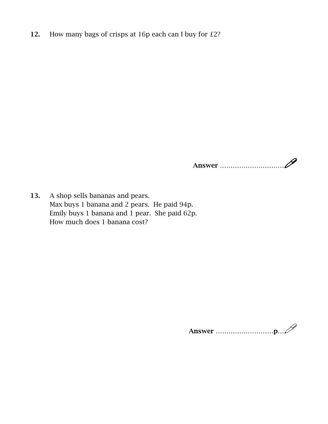12. How many bags of crisps at 16p each can I buy for £2?

Answer …………………………

13. A shop sells bananas and pears. Max buys 1 banana and 2 pears. He paid 94p. Emily buys 1 banana and 1 pear. She paid 62p. How much does 1 banana cost?

Answer ………………………p…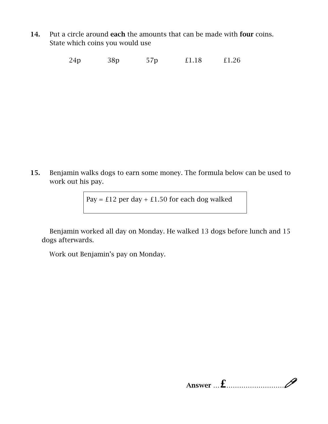14. Put a circle around each the amounts that can be made with four coins. State which coins you would use

24p 38p 57p £1.18 £1.26

15. Benjamin walks dogs to earn some money. The formula below can be used to work out his pay.

Pay =  $£12$  per day +  $£1.50$  for each dog walked

Benjamin worked all day on Monday. He walked 13 dogs before lunch and 15 dogs afterwards.

Work out Benjamin's pay on Monday.

Answer …£………………………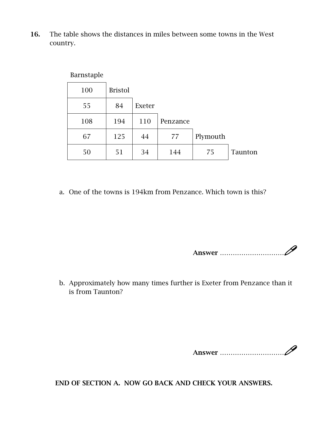16. The table shows the distances in miles between some towns in the West country.

**Barnstaple** 

| - ----- <i>-</i> ------ |                |        |          |          |         |
|-------------------------|----------------|--------|----------|----------|---------|
| 100                     | <b>Bristol</b> |        |          |          |         |
| 55                      | 84             | Exeter |          |          |         |
| 108                     | 194            | 110    | Penzance |          |         |
| 67                      | 125            | 44     | 77       | Plymouth |         |
| 50                      | 51             | 34     | 144      | 75       | Taunton |

a. One of the towns is 194km from Penzance. Which town is this?

Answer …………………………

b. Approximately how many times further is Exeter from Penzance than it is from Taunton?

END OF SECTION A. NOW GO BACK AND CHECK YOUR ANSWERS.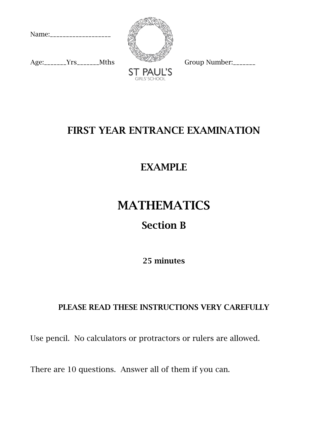Name:\_\_\_\_\_\_\_\_\_\_\_\_\_\_\_\_\_\_\_

 $Age:$   $\text{Trs}$   $Mths$  Group Number:





### FIRST YEAR ENTRANCE EXAMINATION

### EXAMPLE

# MATHEMATICS

### Section B

25 minutes

#### PLEASE READ THESE INSTRUCTIONS VERY CAREFULLY

Use pencil. No calculators or protractors or rulers are allowed.

There are 10 questions. Answer all of them if you can.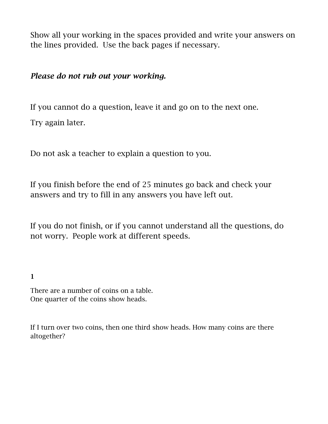Show all your working in the spaces provided and write your answers on the lines provided. Use the back pages if necessary.

#### *Please do not rub out your working.*

If you cannot do a question, leave it and go on to the next one.

Try again later.

Do not ask a teacher to explain a question to you.

If you finish before the end of 25 minutes go back and check your answers and try to fill in any answers you have left out.

If you do not finish, or if you cannot understand all the questions, do not worry. People work at different speeds.

#### 1

There are a number of coins on a table. One quarter of the coins show heads.

If I turn over two coins, then one third show heads. How many coins are there altogether?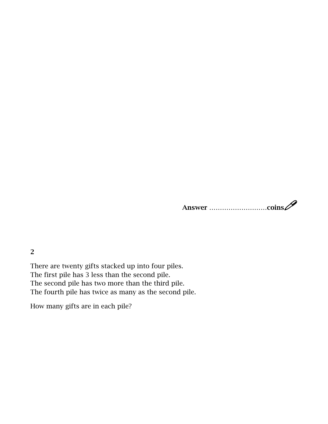# Answer ………………………coins

2

There are twenty gifts stacked up into four piles. The first pile has 3 less than the second pile. The second pile has two more than the third pile. The fourth pile has twice as many as the second pile.

How many gifts are in each pile?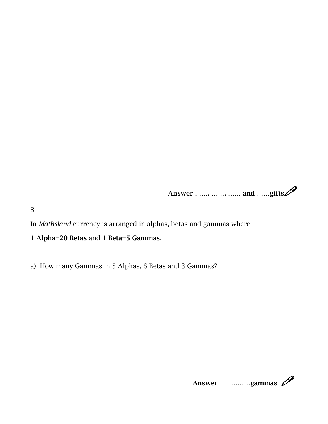Answer ……, ……, …… and ……gifts

3

In *Mathsland* currency is arranged in alphas, betas and gammas where

1 Alpha=20 Betas and 1 Beta=5 Gammas.

a) How many Gammas in 5 Alphas, 6 Betas and 3 Gammas?

Answer ………gammas **P**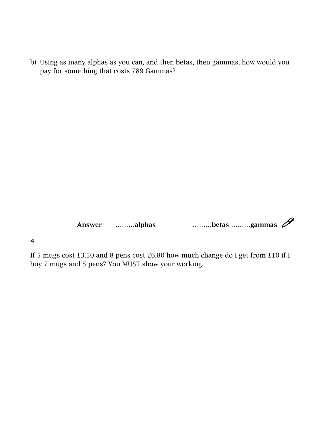b) Using as many alphas as you can, and then betas, then gammas, how would you pay for something that costs 789 Gammas?

Answer ………alphas ………betas ………gammas  $\mathscr{P}$ 

4

If 5 mugs cost £3.50 and 8 pens cost £6.80 how much change do I get from £10 if I buy 7 mugs and 5 pens? You MUST show your working.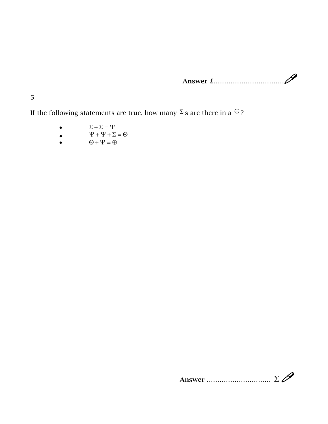Answer £……………………………

5

If the following statements are true, how many  $\Sigma$  s are there in a  $\oplus$ ?

- $\Sigma + \Sigma = \Psi$
- $\Psi + \Psi + \Sigma = \Theta$ <br>  $\Theta + \Psi = \oplus$
- $\Theta + \Psi = \oplus$

Answer  $\ldots$   $\Sigma$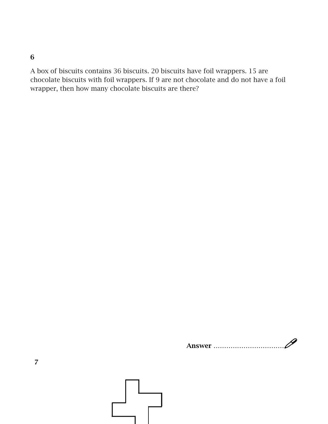6

A box of biscuits contains 36 biscuits. 20 biscuits have foil wrappers. 15 are chocolate biscuits with foil wrappers. If 9 are not chocolate and do not have a foil wrapper, then how many chocolate biscuits are there?

Answer ……………………………

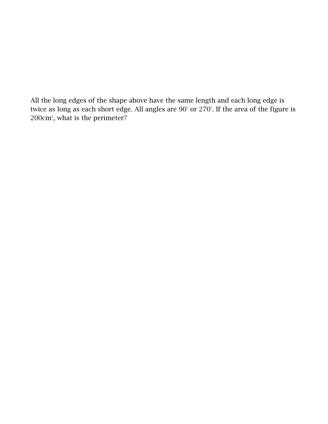All the long edges of the shape above have the same length and each long edge is twice as long as each short edge. All angles are 90° or 270°. If the area of the figure is 200cm2 , what is the perimeter?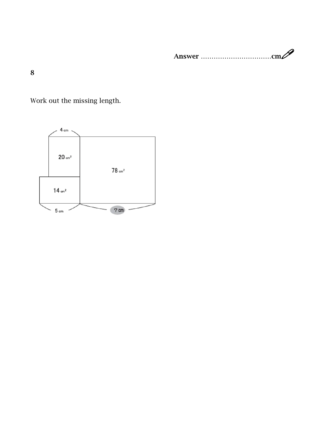Answer ……………………………cm

8

Work out the missing length.

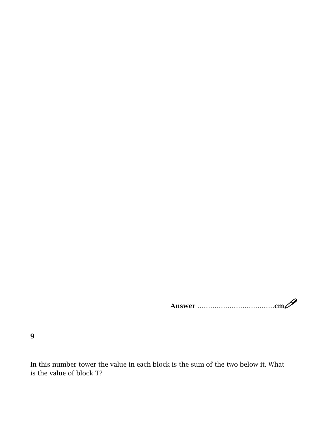Answer ………………………………cm

9

In this number tower the value in each block is the sum of the two below it. What is the value of block T?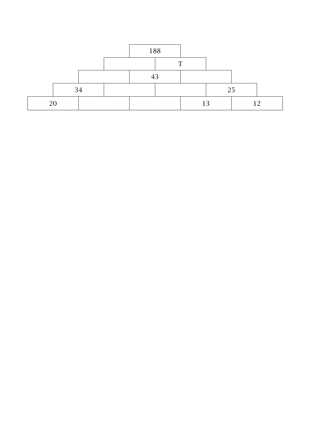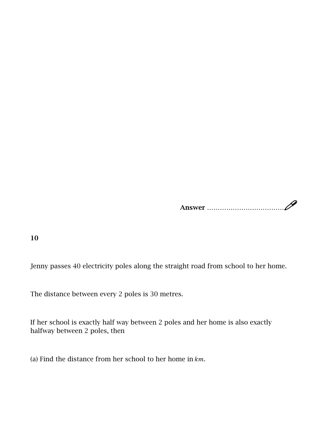Answer ………………………………

10

Jenny passes 40 electricity poles along the straight road from school to her home.

The distance between every 2 poles is 30 metres.

If her school is exactly half way between 2 poles and her home is also exactly halfway between 2 poles, then

(a) Find the distance from her school to her home in  $km$ .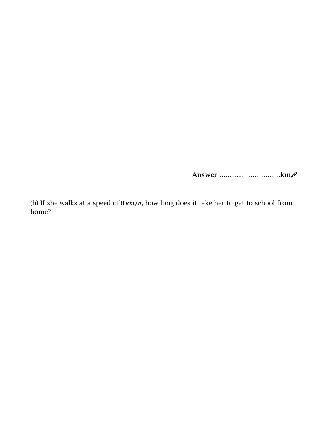Answer ………..………………km

(b) If she walks at a speed of  $8 \, km/h$ , how long does it take her to get to school from home?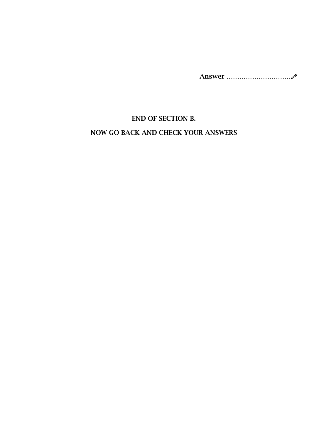Answer …………………………

#### END OF SECTION B.

#### NOW GO BACK AND CHECK YOUR ANSWERS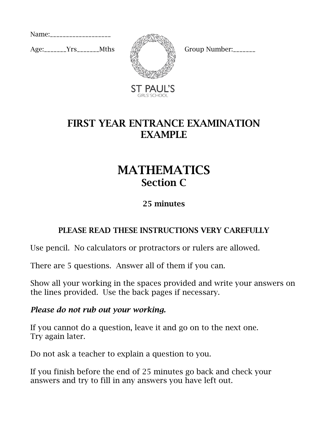Name:\_\_\_\_\_\_\_\_\_\_\_\_\_\_\_\_\_\_\_\_

 $Age:$   $Yrs$   $Mths$   $\sqrt{2}$   $Group Number:$ 



ST PAUL'S

### FIRST YEAR ENTRANCE EXAMINATION EXAMPLE

### MATHEMATICS Section C

#### 25 minutes

#### PLEASE READ THESE INSTRUCTIONS VERY CAREFULLY

Use pencil. No calculators or protractors or rulers are allowed.

There are 5 questions. Answer all of them if you can.

Show all your working in the spaces provided and write your answers on the lines provided. Use the back pages if necessary.

#### *Please do not rub out your working.*

If you cannot do a question, leave it and go on to the next one. Try again later.

Do not ask a teacher to explain a question to you.

If you finish before the end of 25 minutes go back and check your answers and try to fill in any answers you have left out.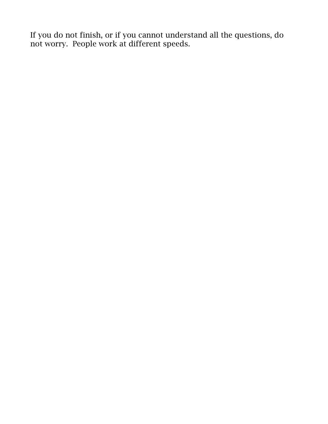If you do not finish, or if you cannot understand all the questions, do not worry. People work at different speeds.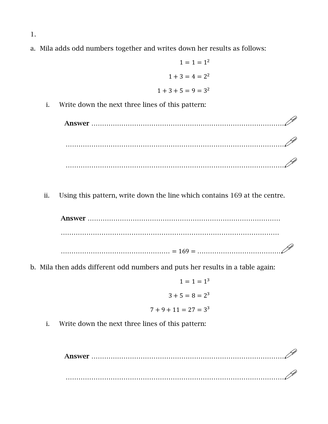a. Mila adds odd numbers together and writes down her results as follows:

$$
1 = 1 = 12
$$
  

$$
1 + 3 = 4 = 22
$$
  

$$
1 + 3 + 5 = 9 = 32
$$

i. Write down the next three lines of this pattern:

Answer ……………………………………………………………………………… ………………………………………………………………………………………… …………………………………………………………………………………………

ii. Using this pattern, write down the line which contains 169 at the centre.

Answer ……………………………………………………………………………… ………………………………………………………………………………………… …………………………………………… <sup>=</sup> <sup>169</sup> <sup>=</sup> …………………………………

b. Mila then adds different odd numbers and puts her results in a table again:

$$
1 = 1 = 13
$$
  

$$
3 + 5 = 8 = 23
$$
  

$$
7 + 9 + 11 = 27 = 33
$$

i. Write down the next three lines of this pattern:

Answer ……………………………………………………………………………… …………………………………………………………………………………………

1.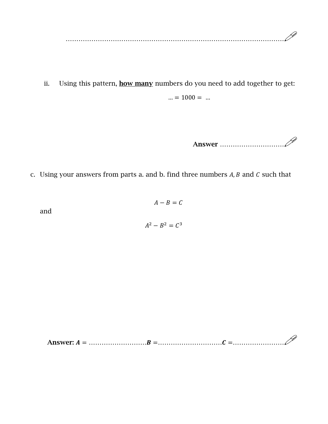…………………………………………………………………………………………

ii. Using this pattern, **how many** numbers do you need to add together to get:  $... = 1000 = ...$ 

Answer …………………………

c. Using your answers from parts a. and b. find three numbers  $A, B$  and  $C$  such that

and

$$
A - B = C
$$

$$
A^2 - B^2 = C^3
$$

Answer: <sup>=</sup> ……………………… <sup>=</sup>………………………… <sup>=</sup>……………………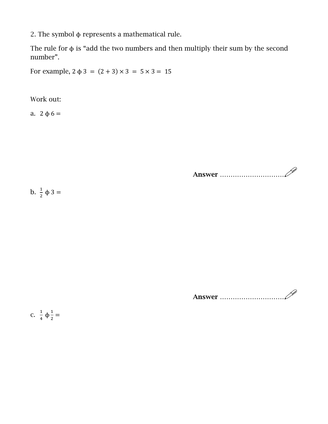2. The symbol ϕ represents a mathematical rule.

The rule for  $\phi$  is "add the two numbers and then multiply their sum by the second number".

For example,  $2 \phi 3 = (2 + 3) \times 3 = 5 \times 3 = 15$ 

Work out:

a.  $2 \phi 6 =$ 

Answer …………………………

b.  $\frac{1}{2} \phi 3 =$ 

Answer …………………………

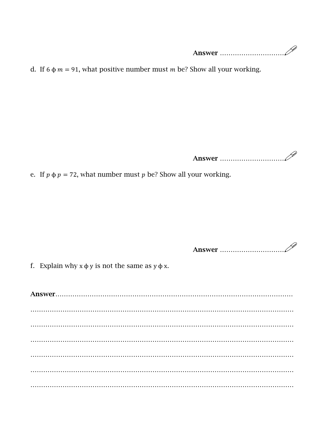Answer …………………………

d. If 6  $\phi$  *m* = 91, what positive number must *m* be? Show all your working.

Answer …………………………

e. If  $p \phi p = 72$ , what number must  $p$  be? Show all your working.

Answer …………………………

f. Explain why  $x \phi y$  is not the same as  $y \phi x$ .

Answer………………………………………………………………………………………………… …………………………………………………………………………………………………………… …………………………………………………………………………………………………………… …………………………………………………………………………………………………………… …………………………………………………………………………………………………………… …………………………………………………………………………………………………………… ……………………………………………………………………………………………………………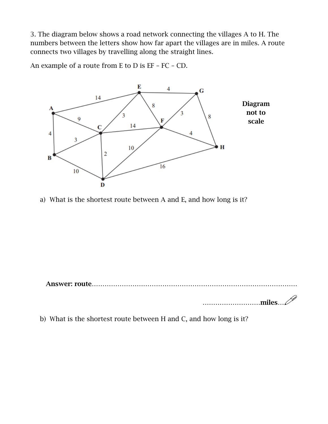3. The diagram below shows a road network connecting the villages A to H. The numbers between the letters show how far apart the villages are in miles. A route connects two villages by travelling along the straight lines.

An example of a route from E to D is EF – FC – CD.



a) What is the shortest route between A and E, and how long is it?

Answer: route………………

………………………miles…

b) What is the shortest route between H and C, and how long is it?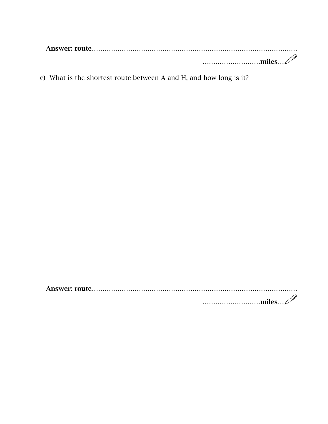| $\ldots$ $\ldots$ $\ldots$ $\ldots$ $\ldots$ $\ldots$ $\ldots$ $\ldots$ |
|-------------------------------------------------------------------------|

c) What is the shortest route between A and H, and how long is it?

Answer: route…………………………………………………………………………………… ………………………miles…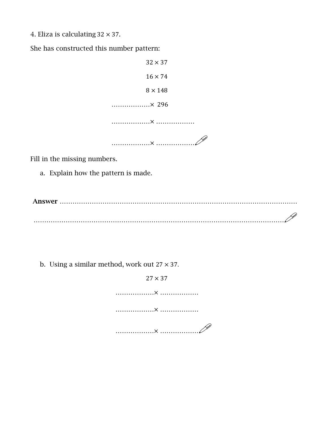4. Eliza is calculating  $32 \times 37$ .

She has constructed this number pattern:

 $32 \times 37$  $16 \times 74$  $8 \times 148$  ………………× 296 ………………× ……………… ………………<sup>×</sup> ………………

Fill in the missing numbers.

a. Explain how the pattern is made.

Answer ………………………………………………………………………………………………… ………………………………………………………………………………………………………

b. Using a similar method, work out  $27 \times 37$ .

 $27 \times 37$  ………………× ……………… ………………× ……………… ………………<sup>×</sup> ………………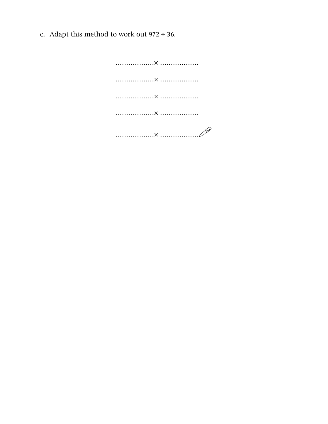c. Adapt this method to work out  $972 \div 36$ .

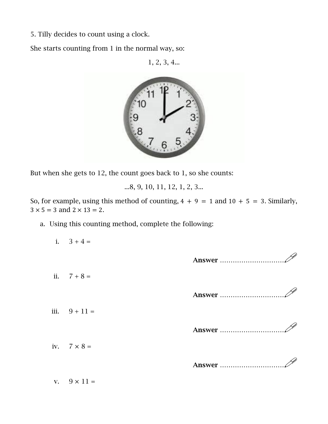5. Tilly decides to count using a clock.

She starts counting from 1 in the normal way, so:

1, 2, 3, 4...



But when she gets to 12, the count goes back to 1, so she counts:

...8, 9, 10, 11, 12, 1, 2, 3...

So, for example, using this method of counting,  $4 + 9 = 1$  and  $10 + 5 = 3$ . Similarly,  $3 \times 5 = 3$  and  $2 \times 13 = 2$ .

a. Using this counting method, complete the following:

v.  $9 \times 11 =$ 

| i. $3 + 4 =$       |               |
|--------------------|---------------|
|                    |               |
| ii. $7 + 8 =$      |               |
|                    | <b>Answer</b> |
| iii. $9 + 11 =$    |               |
|                    | <b>Answer</b> |
| iv. $7 \times 8 =$ |               |
|                    | <b>Answer</b> |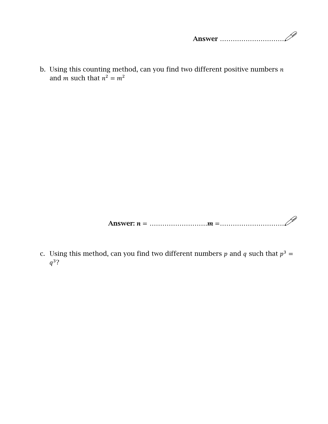b. Using this counting method, can you find two different positive numbers  $n$ and *m* such that  $n^2 = m^2$ 

Answer: <sup>=</sup> ……………………… <sup>=</sup>…………………………

c. Using this method, can you find two different numbers p and q such that  $p^3$  =  $q^3$ ?